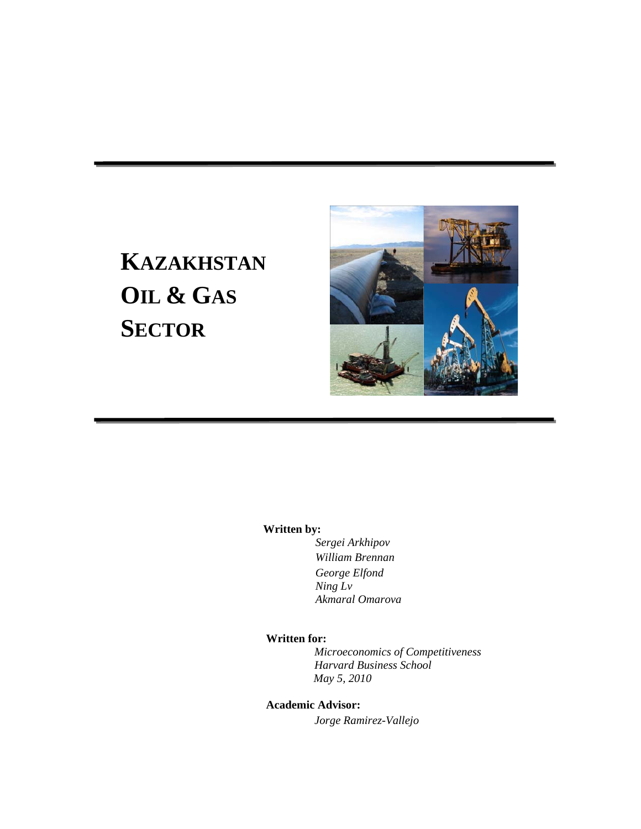# **KAZAKHSTAN OIL & GAS SECTOR**



#### **Written by:**

*Sergei Arkhipov William Brennan George Elfond Ning Lv Akmaral Omarova* 

### **Written for:**

 *Microeconomics of Competitiveness Harvard Business School May 5, 2010* 

## **Academic Advisor:**

 *Jorge Ramirez-Vallejo*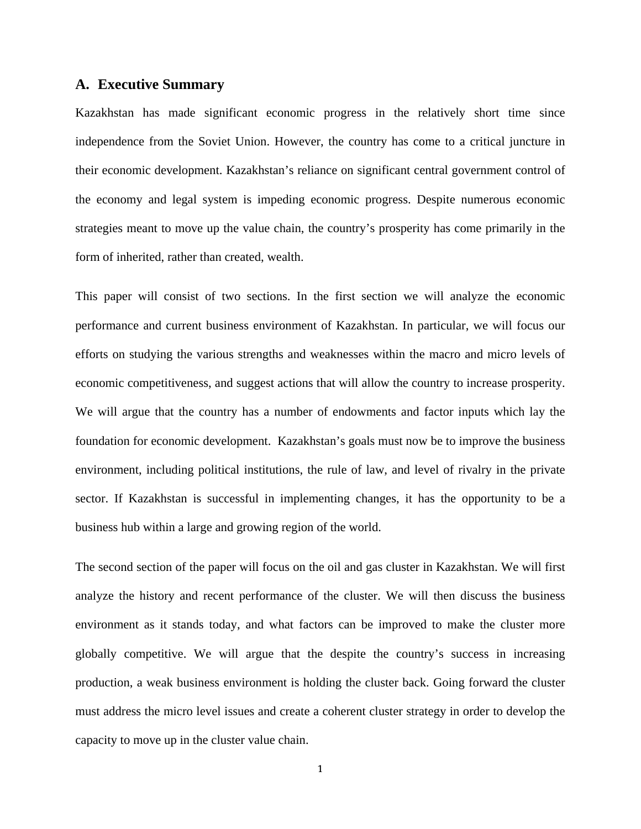## **A. Executive Summary**

Kazakhstan has made significant economic progress in the relatively short time since independence from the Soviet Union. However, the country has come to a critical juncture in their economic development. Kazakhstan's reliance on significant central government control of the economy and legal system is impeding economic progress. Despite numerous economic strategies meant to move up the value chain, the country's prosperity has come primarily in the form of inherited, rather than created, wealth.

This paper will consist of two sections. In the first section we will analyze the economic performance and current business environment of Kazakhstan. In particular, we will focus our efforts on studying the various strengths and weaknesses within the macro and micro levels of economic competitiveness, and suggest actions that will allow the country to increase prosperity. We will argue that the country has a number of endowments and factor inputs which lay the foundation for economic development. Kazakhstan's goals must now be to improve the business environment, including political institutions, the rule of law, and level of rivalry in the private sector. If Kazakhstan is successful in implementing changes, it has the opportunity to be a business hub within a large and growing region of the world.

The second section of the paper will focus on the oil and gas cluster in Kazakhstan. We will first analyze the history and recent performance of the cluster. We will then discuss the business environment as it stands today, and what factors can be improved to make the cluster more globally competitive. We will argue that the despite the country's success in increasing production, a weak business environment is holding the cluster back. Going forward the cluster must address the micro level issues and create a coherent cluster strategy in order to develop the capacity to move up in the cluster value chain.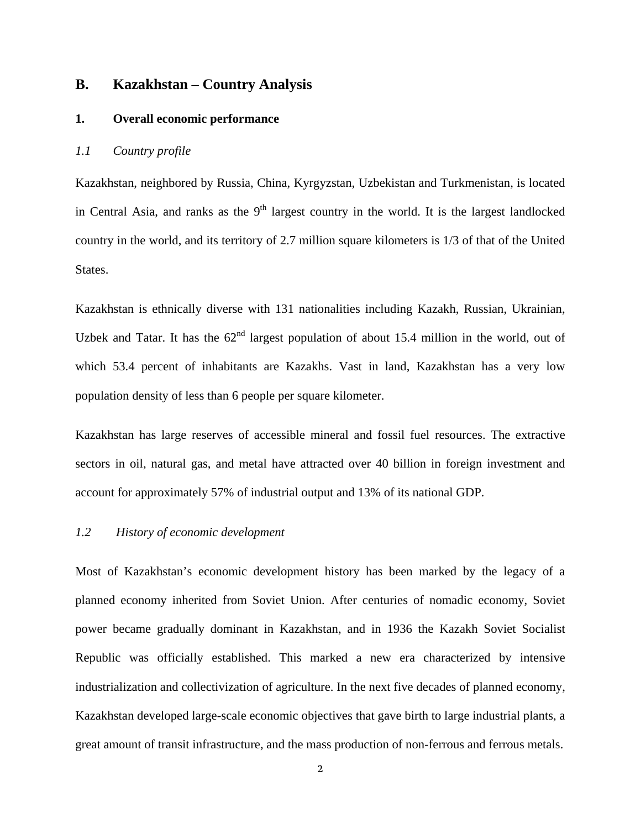## **B. Kazakhstan – Country Analysis**

#### **1. Overall economic performance**

## *1.1 Country profile*

Kazakhstan, neighbored by Russia, China, Kyrgyzstan, Uzbekistan and Turkmenistan, is located in Central Asia, and ranks as the  $9<sup>th</sup>$  largest country in the world. It is the largest landlocked country in the world, and its territory of 2.7 million square kilometers is 1/3 of that of the United States.

Kazakhstan is ethnically diverse with 131 nationalities including Kazakh, Russian, Ukrainian, Uzbek and Tatar. It has the  $62<sup>nd</sup>$  largest population of about 15.4 million in the world, out of which 53.4 percent of inhabitants are Kazakhs. Vast in land, Kazakhstan has a very low population density of less than 6 people per square kilometer.

Kazakhstan has large reserves of accessible mineral and fossil fuel resources. The extractive sectors in oil, natural gas, and metal have attracted over 40 billion in foreign investment and account for approximately 57% of industrial output and 13% of its national GDP.

#### *1.2 History of economic development*

Most of Kazakhstan's economic development history has been marked by the legacy of a planned economy inherited from Soviet Union. After centuries of nomadic economy, Soviet power became gradually dominant in Kazakhstan, and in 1936 the Kazakh Soviet Socialist Republic was officially established. This marked a new era characterized by intensive industrialization and collectivization of agriculture. In the next five decades of planned economy, Kazakhstan developed large-scale economic objectives that gave birth to large industrial plants, a great amount of transit infrastructure, and the mass production of non-ferrous and ferrous metals.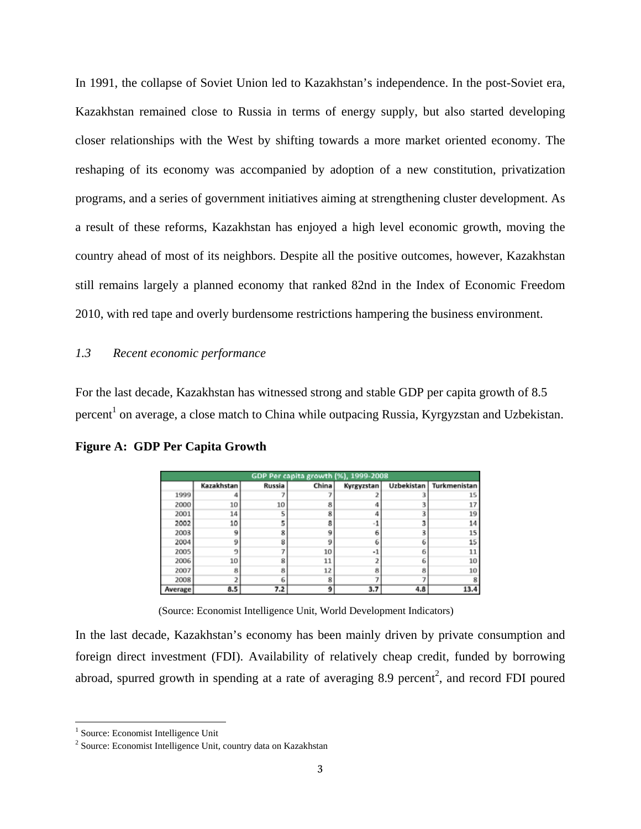In 1991, the collapse of Soviet Union led to Kazakhstan's independence. In the post-Soviet era, Kazakhstan remained close to Russia in terms of energy supply, but also started developing closer relationships with the West by shifting towards a more market oriented economy. The reshaping of its economy was accompanied by adoption of a new constitution, privatization programs, and a series of government initiatives aiming at strengthening cluster development. As a result of these reforms, Kazakhstan has enjoyed a high level economic growth, moving the country ahead of most of its neighbors. Despite all the positive outcomes, however, Kazakhstan still remains largely a planned economy that ranked 82nd in the Index of Economic Freedom 2010, with red tape and overly burdensome restrictions hampering the business environment.

### *1.3 Recent economic performance*

For the last decade, Kazakhstan has witnessed strong and stable GDP per capita growth of 8.5 percent<sup>1</sup> on average, a close match to China while outpacing Russia, Kyrgyzstan and Uzbekistan.

| GDP Per capita growth (%), 1999-2008 |            |        |       |            |     |                           |
|--------------------------------------|------------|--------|-------|------------|-----|---------------------------|
|                                      | Kazakhstan | Russia | China | Kyrgyzstan |     | Uzbekistan   Turkmenistan |
| 1999                                 |            |        |       |            |     | 15                        |
| 2000                                 | 10         | 10     |       |            |     | 17                        |
| 2001                                 | 14         |        |       |            |     | 19                        |
| 2002                                 | 10         |        |       |            |     |                           |
| 2003                                 |            |        |       |            |     |                           |
| 2004                                 |            |        |       |            |     | 15                        |
| 2005                                 |            |        | 10    |            |     |                           |
| 2006                                 | 10         |        | 11    |            |     | 10                        |
| 2007                                 |            |        | 12    |            | 8   | 10                        |
| 2008                                 |            |        |       |            |     |                           |
| Average                              | 8.5        | 7.2    |       | 3.7        | 4.8 | 13.4                      |

**Figure A: GDP Per Capita Growth** 

(Source: Economist Intelligence Unit, World Development Indicators)

In the last decade, Kazakhstan's economy has been mainly driven by private consumption and foreign direct investment (FDI). Availability of relatively cheap credit, funded by borrowing abroad, spurred growth in spending at a rate of averaging 8.9 percent<sup>2</sup>, and record FDI poured

 1 Source: Economist Intelligence Unit

<sup>&</sup>lt;sup>2</sup> Source: Economist Intelligence Unit, country data on Kazakhstan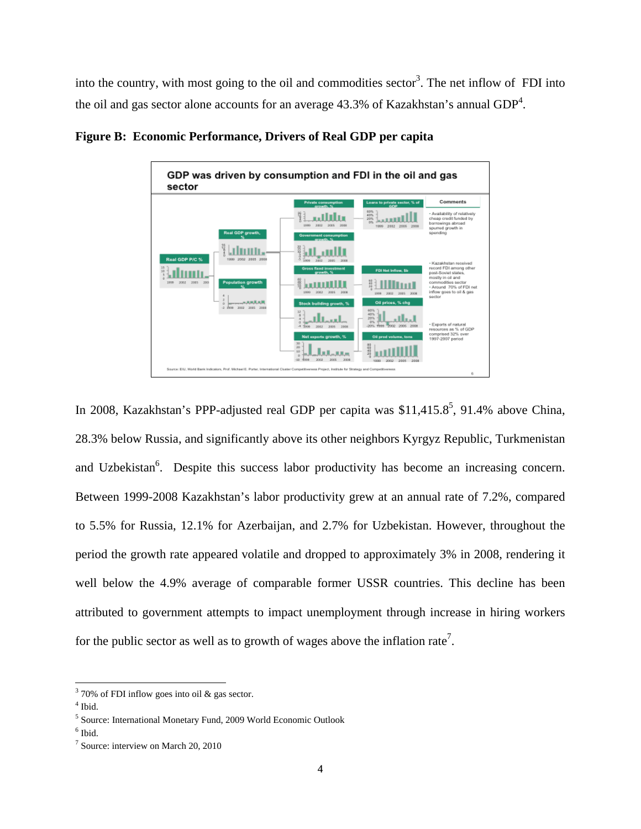into the country, with most going to the oil and commodities sector<sup>3</sup>. The net inflow of FDI into the oil and gas sector alone accounts for an average 43.3% of Kazakhstan's annual  $GDP<sup>4</sup>$ .



**Figure B: Economic Performance, Drivers of Real GDP per capita** 

In 2008, Kazakhstan's PPP-adjusted real GDP per capita was  $$11,415.8^5$ , 91.4% above China, 28.3% below Russia, and significantly above its other neighbors Kyrgyz Republic, Turkmenistan and Uzbekistan<sup>6</sup>. Despite this success labor productivity has become an increasing concern. Between 1999-2008 Kazakhstan's labor productivity grew at an annual rate of 7.2%, compared to 5.5% for Russia, 12.1% for Azerbaijan, and 2.7% for Uzbekistan. However, throughout the period the growth rate appeared volatile and dropped to approximately 3% in 2008, rendering it well below the 4.9% average of comparable former USSR countries. This decline has been attributed to government attempts to impact unemployment through increase in hiring workers for the public sector as well as to growth of wages above the inflation rate<sup>7</sup>.

 $370\%$  of FDI inflow goes into oil & gas sector.

<sup>4</sup> Ibid.

<sup>5</sup> Source: International Monetary Fund, 2009 World Economic Outlook

<sup>6</sup> Ibid.

<sup>&</sup>lt;sup>7</sup> Source: interview on March 20, 2010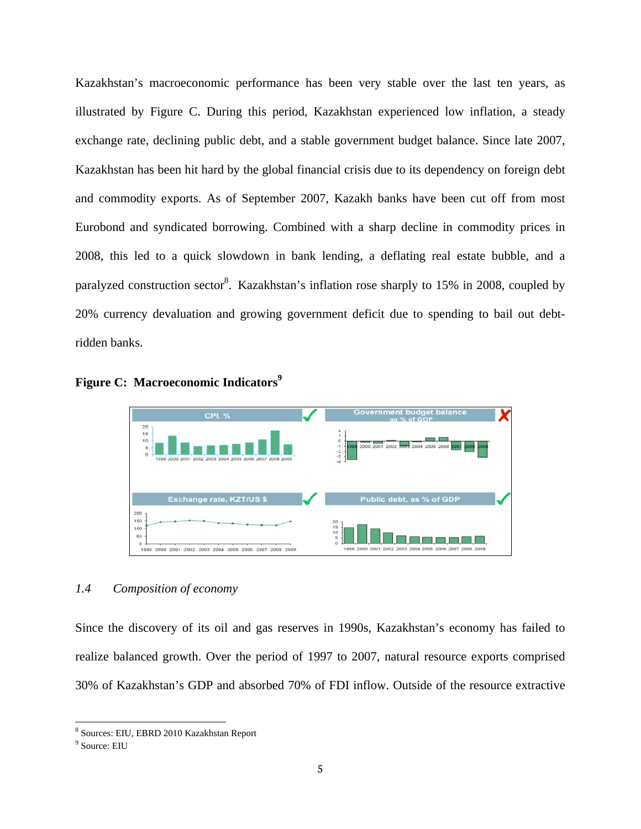Kazakhstan's macroeconomic performance has been very stable over the last ten years, as illustrated by Figure C. During this period, Kazakhstan experienced low inflation, a steady exchange rate, declining public debt, and a stable government budget balance. Since late 2007, Kazakhstan has been hit hard by the global financial crisis due to its dependency on foreign debt and commodity exports. As of September 2007, Kazakh banks have been cut off from most Eurobond and syndicated borrowing. Combined with a sharp decline in commodity prices in 2008, this led to a quick slowdown in bank lending, a deflating real estate bubble, and a paralyzed construction sector<sup>8</sup>. Kazakhstan's inflation rose sharply to 15% in 2008, coupled by 20% currency devaluation and growing government deficit due to spending to bail out debtridden banks.





### *1.4 Composition of economy*

Since the discovery of its oil and gas reserves in 1990s, Kazakhstan's economy has failed to realize balanced growth. Over the period of 1997 to 2007, natural resource exports comprised 30% of Kazakhstan's GDP and absorbed 70% of FDI inflow. Outside of the resource extractive

<sup>&</sup>lt;sup>8</sup> Sources: EIU, EBRD 2010 Kazakhstan Report

<sup>9</sup> Source: EIU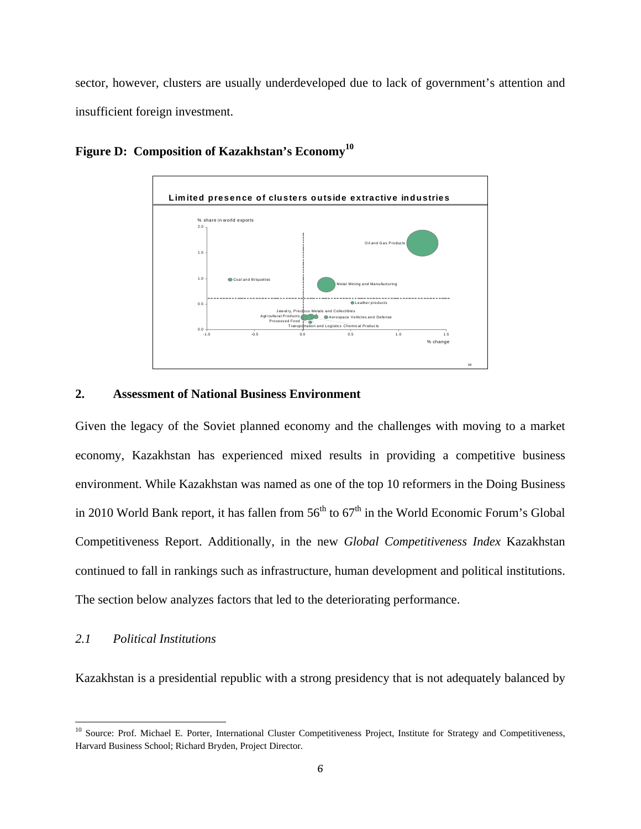sector, however, clusters are usually underdeveloped due to lack of government's attention and insufficient foreign investment.



**Figure D: Composition of Kazakhstan's Economy<sup>10</sup>**

### **2. Assessment of National Business Environment**

Given the legacy of the Soviet planned economy and the challenges with moving to a market economy, Kazakhstan has experienced mixed results in providing a competitive business environment. While Kazakhstan was named as one of the top 10 reformers in the Doing Business in 2010 World Bank report, it has fallen from  $56<sup>th</sup>$  to  $67<sup>th</sup>$  in the World Economic Forum's Global Competitiveness Report. Additionally, in the new *Global Competitiveness Index* Kazakhstan continued to fall in rankings such as infrastructure, human development and political institutions. The section below analyzes factors that led to the deteriorating performance.

## *2.1 Political Institutions*

Kazakhstan is a presidential republic with a strong presidency that is not adequately balanced by

<sup>&</sup>lt;sup>10</sup> Source: Prof. Michael E. Porter, International Cluster Competitiveness Project, Institute for Strategy and Competitiveness, Harvard Business School; Richard Bryden, Project Director.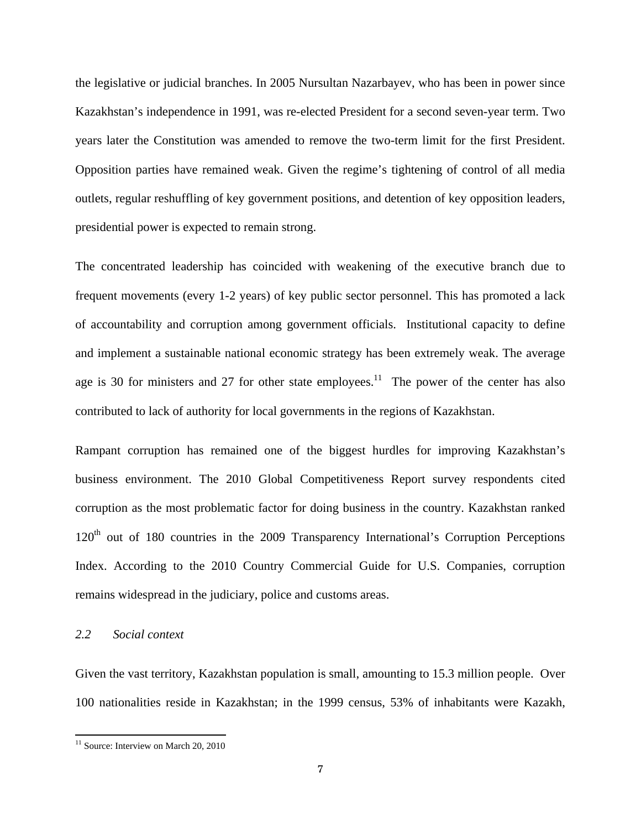the legislative or judicial branches. In 2005 Nursultan Nazarbayev, who has been in power since Kazakhstan's independence in 1991, was re-elected President for a second seven-year term. Two years later the Constitution was amended to remove the two-term limit for the first President. Opposition parties have remained weak. Given the regime's tightening of control of all media outlets, regular reshuffling of key government positions, and detention of key opposition leaders, presidential power is expected to remain strong.

The concentrated leadership has coincided with weakening of the executive branch due to frequent movements (every 1-2 years) of key public sector personnel. This has promoted a lack of accountability and corruption among government officials. Institutional capacity to define and implement a sustainable national economic strategy has been extremely weak. The average age is 30 for ministers and 27 for other state employees.<sup>11</sup> The power of the center has also contributed to lack of authority for local governments in the regions of Kazakhstan.

Rampant corruption has remained one of the biggest hurdles for improving Kazakhstan's business environment. The 2010 Global Competitiveness Report survey respondents cited corruption as the most problematic factor for doing business in the country. Kazakhstan ranked 120<sup>th</sup> out of 180 countries in the 2009 Transparency International's Corruption Perceptions Index. According to the 2010 Country Commercial Guide for U.S. Companies, corruption remains widespread in the judiciary, police and customs areas.

## *2.2 Social context*

Given the vast territory, Kazakhstan population is small, amounting to 15.3 million people. Over 100 nationalities reside in Kazakhstan; in the 1999 census, 53% of inhabitants were Kazakh,

 <sup>11</sup> Source: Interview on March 20, 2010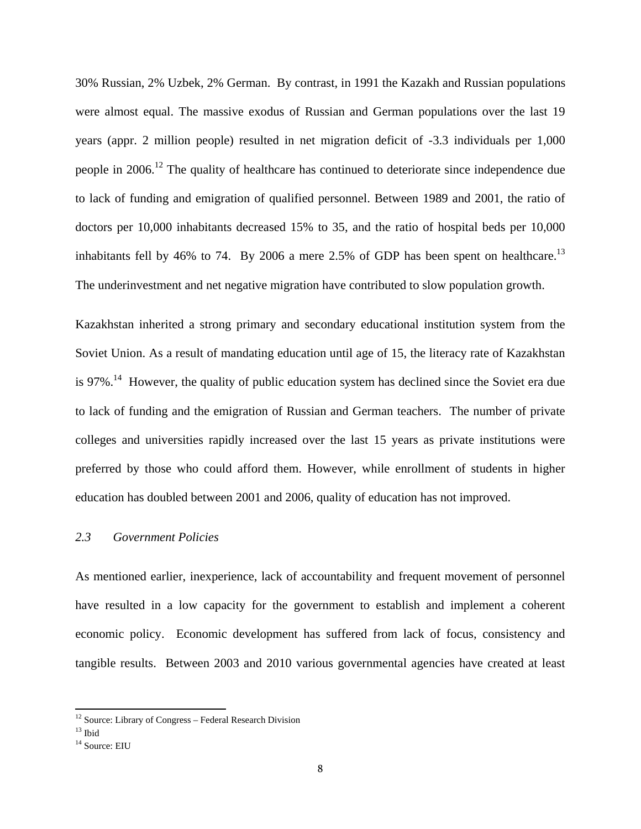30% Russian, 2% Uzbek, 2% German. By contrast, in 1991 the Kazakh and Russian populations were almost equal. The massive exodus of Russian and German populations over the last 19 years (appr. 2 million people) resulted in net migration deficit of -3.3 individuals per 1,000 people in 2006.<sup>12</sup> The quality of healthcare has continued to deteriorate since independence due to lack of funding and emigration of qualified personnel. Between 1989 and 2001, the ratio of doctors per 10,000 inhabitants decreased 15% to 35, and the ratio of hospital beds per 10,000 inhabitants fell by 46% to 74. By 2006 a mere 2.5% of GDP has been spent on healthcare.<sup>13</sup> The underinvestment and net negative migration have contributed to slow population growth.

Kazakhstan inherited a strong primary and secondary educational institution system from the Soviet Union. As a result of mandating education until age of 15, the literacy rate of Kazakhstan is 97%.<sup>14</sup> However, the quality of public education system has declined since the Soviet era due to lack of funding and the emigration of Russian and German teachers. The number of private colleges and universities rapidly increased over the last 15 years as private institutions were preferred by those who could afford them. However, while enrollment of students in higher education has doubled between 2001 and 2006, quality of education has not improved.

## *2.3 Government Policies*

As mentioned earlier, inexperience, lack of accountability and frequent movement of personnel have resulted in a low capacity for the government to establish and implement a coherent economic policy. Economic development has suffered from lack of focus, consistency and tangible results. Between 2003 and 2010 various governmental agencies have created at least

 $12$  Source: Library of Congress – Federal Research Division

 $13$  Ibid

<sup>&</sup>lt;sup>14</sup> Source: EIU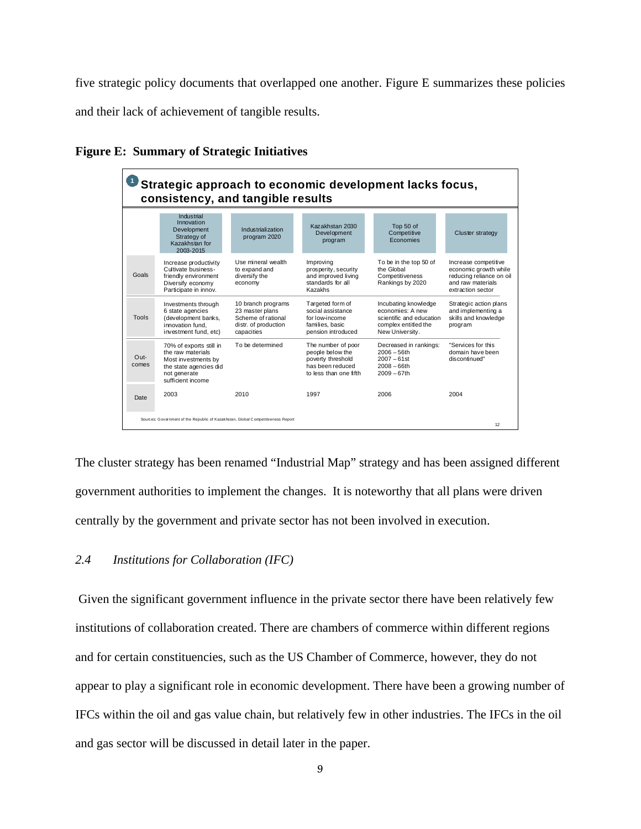five strategic policy documents that overlapped one another. Figure E summarizes these policies and their lack of achievement of tangible results.

| Strategic approach to economic development lacks focus,<br>consistency, and tangible results |                                                                                                                                    |                                                                                                   |                                                                                                           |                                                                                                                 |                                                                                                                     |
|----------------------------------------------------------------------------------------------|------------------------------------------------------------------------------------------------------------------------------------|---------------------------------------------------------------------------------------------------|-----------------------------------------------------------------------------------------------------------|-----------------------------------------------------------------------------------------------------------------|---------------------------------------------------------------------------------------------------------------------|
|                                                                                              | Industrial<br>Innovation<br>Development<br>Strategy of<br>Kazakhstan for<br>2003-2015                                              | Industrialization<br>program 2020                                                                 | Kazakhstan 2030<br>Development<br>program                                                                 | Top 50 of<br>Competitive<br>Economies                                                                           | <b>Cluster strategy</b>                                                                                             |
| Goals                                                                                        | Increase productivity<br>Cultivate business-<br>friendly environment<br>Diversify economy<br>Participate in innov.                 | Use mineral wealth<br>to expand and<br>diversify the<br>economy                                   | Improving<br>prosperity, security<br>and improved living<br>standards for all<br>Kazakhs                  | To be in the top 50 of<br>the Global<br>Competitiveness<br>Rankings by 2020                                     | Increase competitive<br>economic growth while<br>reducing reliance on oil<br>and raw materials<br>extraction sector |
| Tools                                                                                        | Investments through<br>6 state agencies<br>(development banks,<br>innovation fund.<br>investment fund, etc)                        | 10 branch programs<br>23 master plans<br>Scheme of rational<br>distr. of production<br>capacities | Targeted form of<br>social assistance<br>for low-income<br>families, basic<br>pension introduced          | Incubating knowledge<br>economies: A new<br>scientific and education<br>complex entitled the<br>New University. | Strategic action plans<br>and implementing a<br>skills and knowledge<br>program                                     |
| Out-<br>comes                                                                                | 70% of exports still in<br>the raw materials<br>Most investments by<br>the state agencies did<br>not generate<br>sufficient income | To be determined                                                                                  | The number of poor<br>people below the<br>poverty threshold<br>has been reduced<br>to less than one fifth | Decreased in rankings:<br>$2006 - 56$ th<br>$2007 - 61st$<br>$2008 - 66$ th<br>$2009 - 67$ th                   | "Services for this<br>domain have been<br>discontinued"                                                             |
| Date                                                                                         | 2003                                                                                                                               | 2010                                                                                              | 1997                                                                                                      | 2006                                                                                                            | 2004                                                                                                                |
|                                                                                              | Sources: Government of the Republic of Kazakhstan, Global Competitiveness Report                                                   |                                                                                                   |                                                                                                           |                                                                                                                 | 12                                                                                                                  |

**Figure E: Summary of Strategic Initiatives** 

The cluster strategy has been renamed "Industrial Map" strategy and has been assigned different government authorities to implement the changes. It is noteworthy that all plans were driven centrally by the government and private sector has not been involved in execution.

## *2.4 Institutions for Collaboration (IFC)*

 Given the significant government influence in the private sector there have been relatively few institutions of collaboration created. There are chambers of commerce within different regions and for certain constituencies, such as the US Chamber of Commerce, however, they do not appear to play a significant role in economic development. There have been a growing number of IFCs within the oil and gas value chain, but relatively few in other industries. The IFCs in the oil and gas sector will be discussed in detail later in the paper.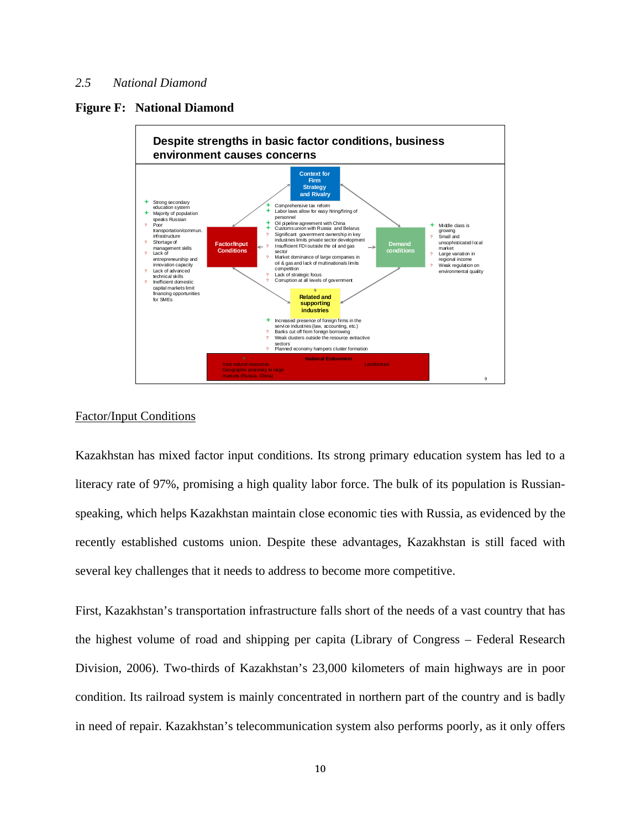## *2.5 National Diamond*

#### **Figure F: National Diamond**



#### Factor/Input Conditions

Kazakhstan has mixed factor input conditions. Its strong primary education system has led to a literacy rate of 97%, promising a high quality labor force. The bulk of its population is Russianspeaking, which helps Kazakhstan maintain close economic ties with Russia, as evidenced by the recently established customs union. Despite these advantages, Kazakhstan is still faced with several key challenges that it needs to address to become more competitive.

First, Kazakhstan's transportation infrastructure falls short of the needs of a vast country that has the highest volume of road and shipping per capita (Library of Congress – Federal Research Division, 2006). Two-thirds of Kazakhstan's 23,000 kilometers of main highways are in poor condition. Its railroad system is mainly concentrated in northern part of the country and is badly in need of repair. Kazakhstan's telecommunication system also performs poorly, as it only offers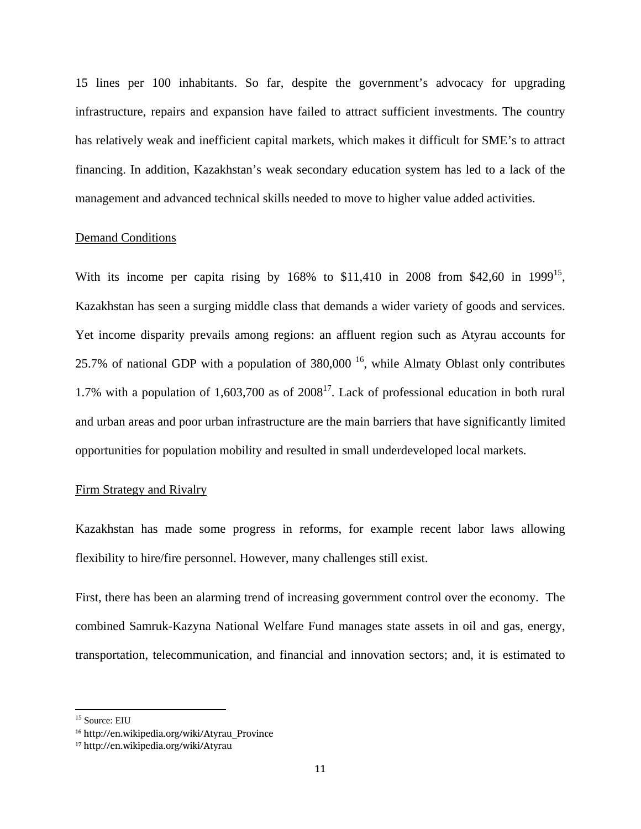15 lines per 100 inhabitants. So far, despite the government's advocacy for upgrading infrastructure, repairs and expansion have failed to attract sufficient investments. The country has relatively weak and inefficient capital markets, which makes it difficult for SME's to attract financing. In addition, Kazakhstan's weak secondary education system has led to a lack of the management and advanced technical skills needed to move to higher value added activities.

#### Demand Conditions

With its income per capita rising by  $168\%$  to \$11,410 in 2008 from \$42,60 in 1999<sup>15</sup>, Kazakhstan has seen a surging middle class that demands a wider variety of goods and services. Yet income disparity prevails among regions: an affluent region such as Atyrau accounts for 25.7% of national GDP with a population of  $380,000$  <sup>16</sup>, while Almaty Oblast only contributes 1.7% with a population of 1,603,700 as of  $2008<sup>17</sup>$ . Lack of professional education in both rural and urban areas and poor urban infrastructure are the main barriers that have significantly limited opportunities for population mobility and resulted in small underdeveloped local markets.

#### Firm Strategy and Rivalry

Kazakhstan has made some progress in reforms, for example recent labor laws allowing flexibility to hire/fire personnel. However, many challenges still exist.

First, there has been an alarming trend of increasing government control over the economy. The combined Samruk-Kazyna National Welfare Fund manages state assets in oil and gas, energy, transportation, telecommunication, and financial and innovation sectors; and, it is estimated to

<sup>&</sup>lt;sup>15</sup> Source: EIU

<sup>16</sup> http://en.wikipedia.org/wiki/Atyrau\_Province

<sup>17</sup> http://en.wikipedia.org/wiki/Atyrau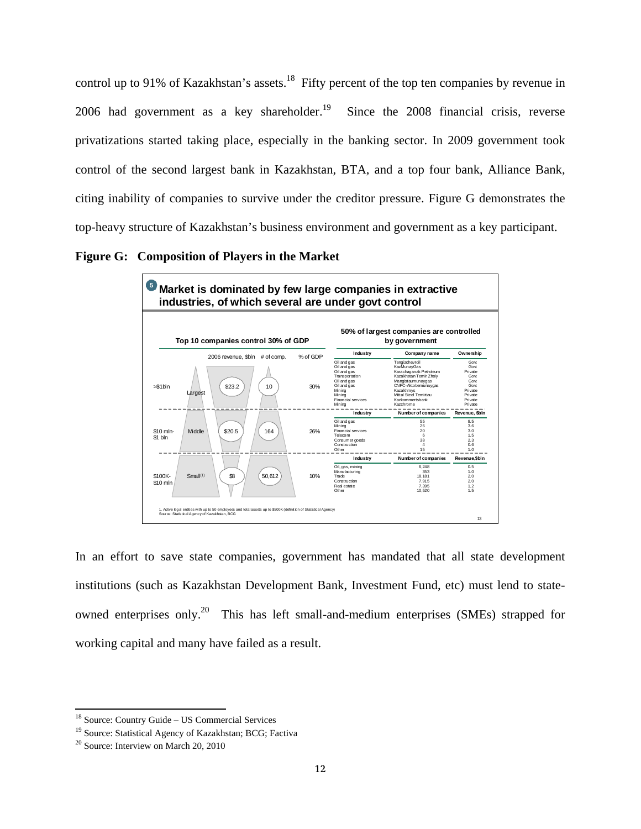control up to 91% of Kazakhstan's assets.<sup>18</sup> Fifty percent of the top ten companies by revenue in 2006 had government as a key shareholder.<sup>19</sup> Since the 2008 financial crisis, reverse privatizations started taking place, especially in the banking sector. In 2009 government took control of the second largest bank in Kazakhstan, BTA, and a top four bank, Alliance Bank, citing inability of companies to survive under the creditor pressure. Figure G demonstrates the top-heavy structure of Kazakhstan's business environment and government as a key participant.

**Figure G: Composition of Players in the Market** 



In an effort to save state companies, government has mandated that all state development institutions (such as Kazakhstan Development Bank, Investment Fund, etc) must lend to stateowned enterprises only.<sup>20</sup> This has left small-and-medium enterprises (SMEs) strapped for working capital and many have failed as a result.

<sup>&</sup>lt;sup>18</sup> Source: Country Guide – US Commercial Services

<sup>19</sup> Source: Statistical Agency of Kazakhstan; BCG; Factiva

 $20$  Source: Interview on March 20, 2010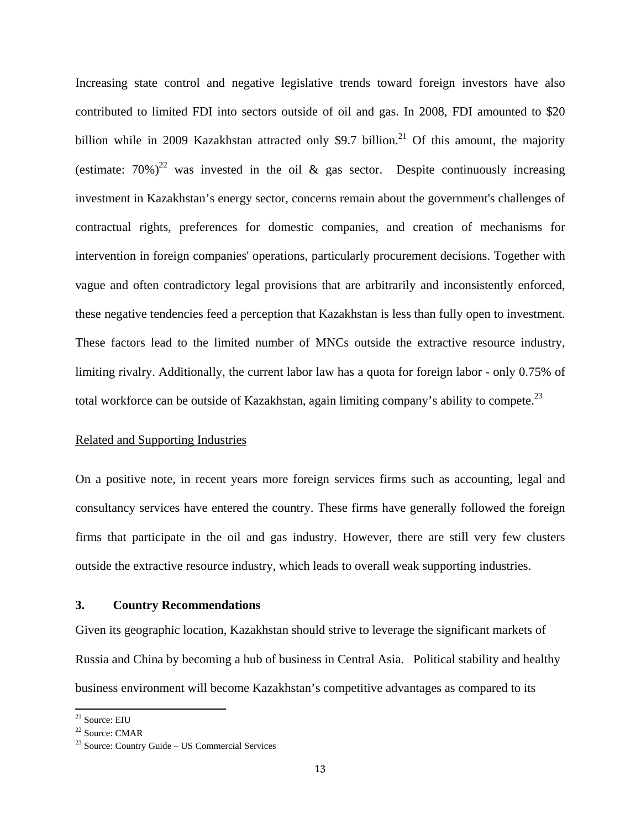Increasing state control and negative legislative trends toward foreign investors have also contributed to limited FDI into sectors outside of oil and gas. In 2008, FDI amounted to \$20 billion while in 2009 Kazakhstan attracted only \$9.7 billion.<sup>21</sup> Of this amount, the majority (estimate:  $70\%$ )<sup>22</sup> was invested in the oil & gas sector. Despite continuously increasing investment in Kazakhstan's energy sector, concerns remain about the government's challenges of contractual rights, preferences for domestic companies, and creation of mechanisms for intervention in foreign companies' operations, particularly procurement decisions. Together with vague and often contradictory legal provisions that are arbitrarily and inconsistently enforced, these negative tendencies feed a perception that Kazakhstan is less than fully open to investment. These factors lead to the limited number of MNCs outside the extractive resource industry, limiting rivalry. Additionally, the current labor law has a quota for foreign labor - only 0.75% of total workforce can be outside of Kazakhstan, again limiting company's ability to compete.<sup>23</sup>

#### Related and Supporting Industries

On a positive note, in recent years more foreign services firms such as accounting, legal and consultancy services have entered the country. These firms have generally followed the foreign firms that participate in the oil and gas industry. However, there are still very few clusters outside the extractive resource industry, which leads to overall weak supporting industries.

## **3. Country Recommendations**

Given its geographic location, Kazakhstan should strive to leverage the significant markets of Russia and China by becoming a hub of business in Central Asia. Political stability and healthy business environment will become Kazakhstan's competitive advantages as compared to its

<sup>21</sup> Source: EIU

<sup>22</sup> Source: CMAR

<sup>23</sup> Source: Country Guide – US Commercial Services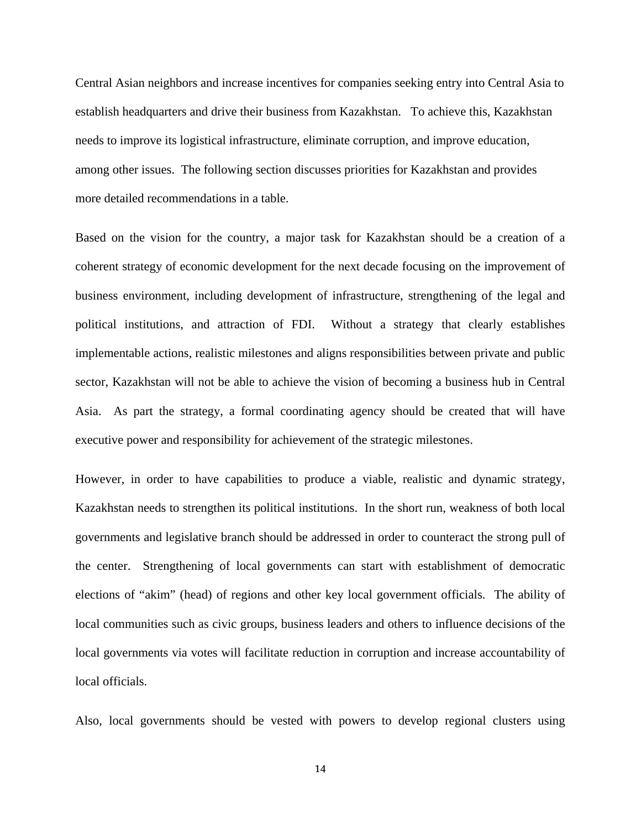Central Asian neighbors and increase incentives for companies seeking entry into Central Asia to establish headquarters and drive their business from Kazakhstan. To achieve this, Kazakhstan needs to improve its logistical infrastructure, eliminate corruption, and improve education, among other issues. The following section discusses priorities for Kazakhstan and provides more detailed recommendations in a table.

Based on the vision for the country, a major task for Kazakhstan should be a creation of a coherent strategy of economic development for the next decade focusing on the improvement of business environment, including development of infrastructure, strengthening of the legal and political institutions, and attraction of FDI. Without a strategy that clearly establishes implementable actions, realistic milestones and aligns responsibilities between private and public sector, Kazakhstan will not be able to achieve the vision of becoming a business hub in Central Asia. As part the strategy, a formal coordinating agency should be created that will have executive power and responsibility for achievement of the strategic milestones.

However, in order to have capabilities to produce a viable, realistic and dynamic strategy, Kazakhstan needs to strengthen its political institutions. In the short run, weakness of both local governments and legislative branch should be addressed in order to counteract the strong pull of the center. Strengthening of local governments can start with establishment of democratic elections of "akim" (head) of regions and other key local government officials. The ability of local communities such as civic groups, business leaders and others to influence decisions of the local governments via votes will facilitate reduction in corruption and increase accountability of local officials.

Also, local governments should be vested with powers to develop regional clusters using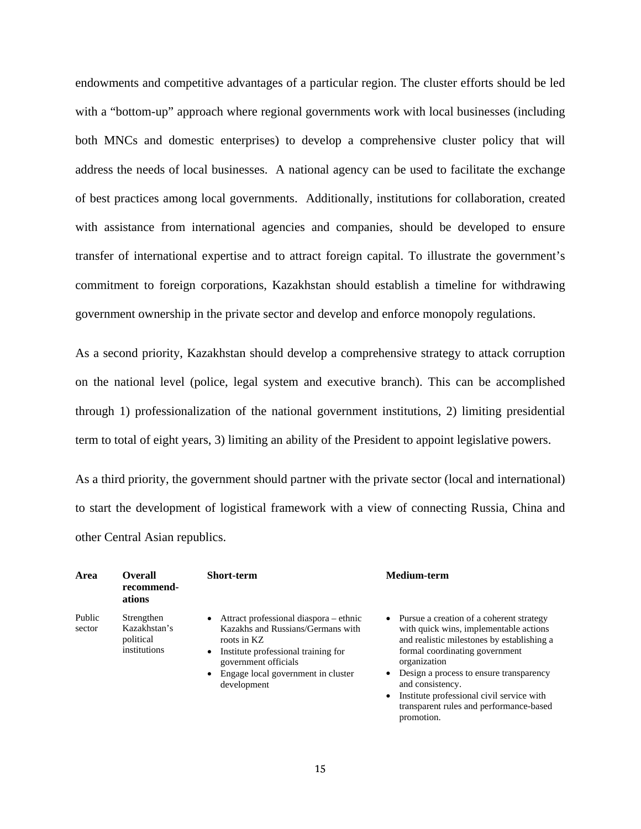endowments and competitive advantages of a particular region. The cluster efforts should be led with a "bottom-up" approach where regional governments work with local businesses (including both MNCs and domestic enterprises) to develop a comprehensive cluster policy that will address the needs of local businesses. A national agency can be used to facilitate the exchange of best practices among local governments. Additionally, institutions for collaboration, created with assistance from international agencies and companies, should be developed to ensure transfer of international expertise and to attract foreign capital. To illustrate the government's commitment to foreign corporations, Kazakhstan should establish a timeline for withdrawing government ownership in the private sector and develop and enforce monopoly regulations.

As a second priority, Kazakhstan should develop a comprehensive strategy to attack corruption on the national level (police, legal system and executive branch). This can be accomplished through 1) professionalization of the national government institutions, 2) limiting presidential term to total of eight years, 3) limiting an ability of the President to appoint legislative powers.

As a third priority, the government should partner with the private sector (local and international) to start the development of logistical framework with a view of connecting Russia, China and other Central Asian republics.

| Area             | <b>Overall</b><br>recommend-<br>ations                  | <b>Short-term</b>                                                                                                                                                                                                                                     | <b>Medium-term</b>                                                                                                                                                                                                                                                                                                                                            |
|------------------|---------------------------------------------------------|-------------------------------------------------------------------------------------------------------------------------------------------------------------------------------------------------------------------------------------------------------|---------------------------------------------------------------------------------------------------------------------------------------------------------------------------------------------------------------------------------------------------------------------------------------------------------------------------------------------------------------|
| Public<br>sector | Strengthen<br>Kazakhstan's<br>political<br>institutions | Attract professional diaspora – ethnic<br>$\bullet$<br>Kazakhs and Russians/Germans with<br>roots in KZ<br>Institute professional training for<br>$\bullet$<br>government officials<br>Engage local government in cluster<br>$\bullet$<br>development | • Pursue a creation of a coherent strategy<br>with quick wins, implementable actions<br>and realistic milestones by establishing a<br>formal coordinating government<br>organization<br>Design a process to ensure transparency<br>٠<br>and consistency.<br>Institute professional civil service with<br>$\bullet$<br>transparent rules and performance-based |

promotion.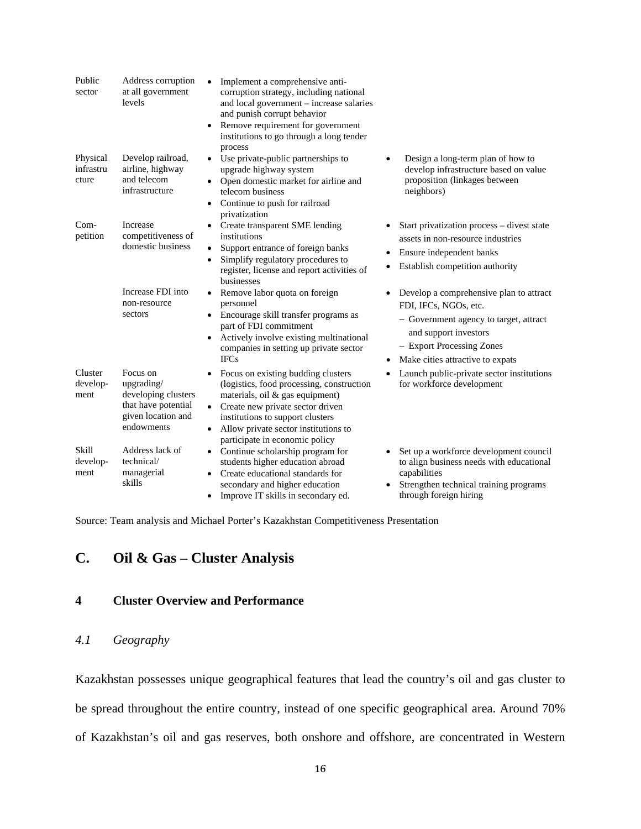| Public<br>sector               | Address corruption<br>at all government<br>levels                                                        | Implement a comprehensive anti-<br>corruption strategy, including national<br>and local government - increase salaries<br>and punish corrupt behavior<br>Remove requirement for government<br>$\bullet$<br>institutions to go through a long tender<br>process                     |                                                                                                                                                                                                                   |
|--------------------------------|----------------------------------------------------------------------------------------------------------|------------------------------------------------------------------------------------------------------------------------------------------------------------------------------------------------------------------------------------------------------------------------------------|-------------------------------------------------------------------------------------------------------------------------------------------------------------------------------------------------------------------|
| Physical<br>infrastru<br>cture | Develop railroad,<br>airline, highway<br>and telecom<br>infrastructure                                   | Use private-public partnerships to<br>upgrade highway system<br>• Open domestic market for airline and<br>telecom business<br>Continue to push for railroad<br>privatization                                                                                                       | Design a long-term plan of how to<br>develop infrastructure based on value<br>proposition (linkages between<br>neighbors)                                                                                         |
| $Com-$<br>petition             | Increase<br>competitiveness of<br>domestic business                                                      | Create transparent SME lending<br>institutions<br>Support entrance of foreign banks<br>Simplify regulatory procedures to<br>$\bullet$<br>register, license and report activities of<br>businesses                                                                                  | Start privatization process – divest state<br>assets in non-resource industries<br>Ensure independent banks<br>Establish competition authority                                                                    |
|                                | Increase FDI into<br>non-resource<br>sectors                                                             | Remove labor quota on foreign<br>personnel<br>Encourage skill transfer programs as<br>part of FDI commitment<br>Actively involve existing multinational<br>companies in setting up private sector<br><b>IFCs</b>                                                                   | Develop a comprehensive plan to attract<br>FDI, IFCs, NGOs, etc.<br>- Government agency to target, attract<br>and support investors<br>- Export Processing Zones<br>Make cities attractive to expats<br>$\bullet$ |
| Cluster<br>develop-<br>ment    | Focus on<br>upgrading/<br>developing clusters<br>that have potential<br>given location and<br>endowments | Focus on existing budding clusters<br>(logistics, food processing, construction)<br>materials, oil & gas equipment)<br>Create new private sector driven<br>institutions to support clusters<br>Allow private sector institutions to<br>$\bullet$<br>participate in economic policy | Launch public-private sector institutions<br>for workforce development                                                                                                                                            |
| Skill<br>develop-<br>ment      | Address lack of<br>technical/<br>managerial<br>skills                                                    | Continue scholarship program for<br>$\bullet$<br>students higher education abroad<br>Create educational standards for<br>secondary and higher education<br>Improve IT skills in secondary ed.<br>$\bullet$                                                                         | Set up a workforce development council<br>to align business needs with educational<br>capabilities<br>Strengthen technical training programs<br>through foreign hiring                                            |

Source: Team analysis and Michael Porter's Kazakhstan Competitiveness Presentation

# **C. Oil & Gas – Cluster Analysis**

## **4 Cluster Overview and Performance**

# *4.1 Geography*

Kazakhstan possesses unique geographical features that lead the country's oil and gas cluster to be spread throughout the entire country, instead of one specific geographical area. Around 70% of Kazakhstan's oil and gas reserves, both onshore and offshore, are concentrated in Western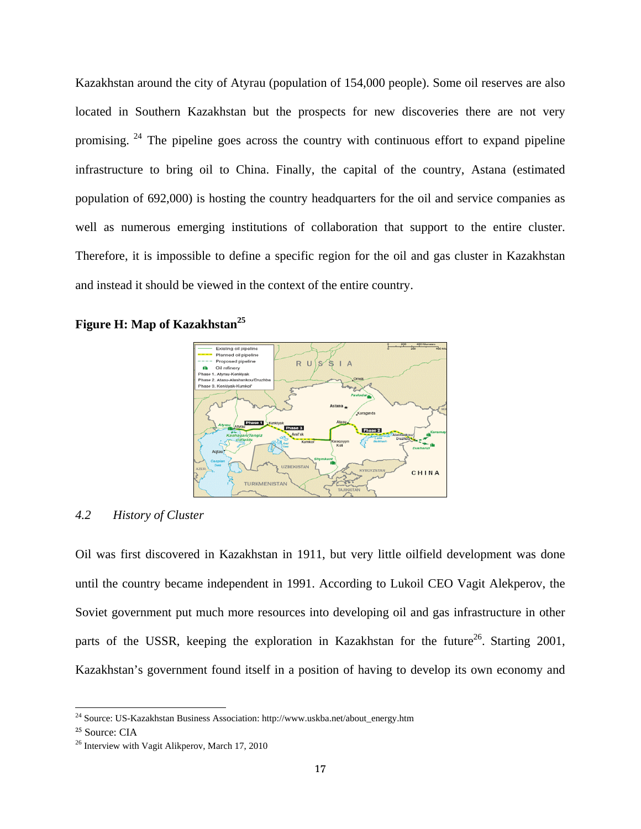Kazakhstan around the city of Atyrau (population of 154,000 people). Some oil reserves are also located in Southern Kazakhstan but the prospects for new discoveries there are not very promising. <sup>24</sup> The pipeline goes across the country with continuous effort to expand pipeline infrastructure to bring oil to China. Finally, the capital of the country, Astana (estimated population of 692,000) is hosting the country headquarters for the oil and service companies as well as numerous emerging institutions of collaboration that support to the entire cluster. Therefore, it is impossible to define a specific region for the oil and gas cluster in Kazakhstan and instead it should be viewed in the context of the entire country.





## *4.2 History of Cluster*

Oil was first discovered in Kazakhstan in 1911, but very little oilfield development was done until the country became independent in 1991. According to Lukoil CEO Vagit Alekperov, the Soviet government put much more resources into developing oil and gas infrastructure in other parts of the USSR, keeping the exploration in Kazakhstan for the future<sup>26</sup>. Starting 2001, Kazakhstan's government found itself in a position of having to develop its own economy and

<sup>&</sup>lt;sup>24</sup> Source: US-Kazakhstan Business Association: http://www.uskba.net/about\_energy.htm

<sup>&</sup>lt;sup>25</sup> Source: CIA

<sup>&</sup>lt;sup>26</sup> Interview with Vagit Alikperov, March 17, 2010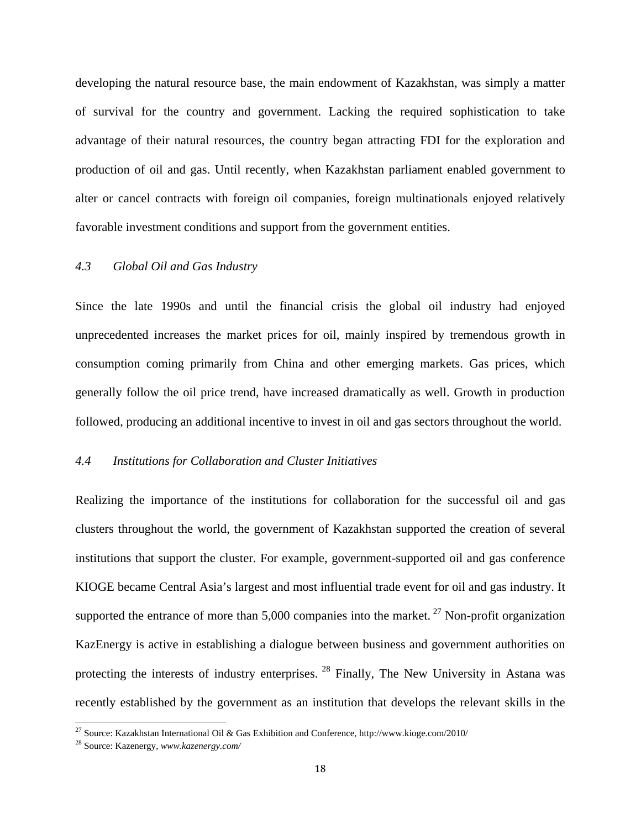developing the natural resource base, the main endowment of Kazakhstan, was simply a matter of survival for the country and government. Lacking the required sophistication to take advantage of their natural resources, the country began attracting FDI for the exploration and production of oil and gas. Until recently, when Kazakhstan parliament enabled government to alter or cancel contracts with foreign oil companies, foreign multinationals enjoyed relatively favorable investment conditions and support from the government entities.

## *4.3 Global Oil and Gas Industry*

Since the late 1990s and until the financial crisis the global oil industry had enjoyed unprecedented increases the market prices for oil, mainly inspired by tremendous growth in consumption coming primarily from China and other emerging markets. Gas prices, which generally follow the oil price trend, have increased dramatically as well. Growth in production followed, producing an additional incentive to invest in oil and gas sectors throughout the world.

## *4.4 Institutions for Collaboration and Cluster Initiatives*

Realizing the importance of the institutions for collaboration for the successful oil and gas clusters throughout the world, the government of Kazakhstan supported the creation of several institutions that support the cluster. For example, government-supported oil and gas conference KIOGE became Central Asia's largest and most influential trade event for oil and gas industry. It supported the entrance of more than  $5,000$  companies into the market.<sup>27</sup> Non-profit organization KazEnergy is active in establishing a dialogue between business and government authorities on protecting the interests of industry enterprises. <sup>28</sup> Finally, The New University in Astana was recently established by the government as an institution that develops the relevant skills in the

<sup>&</sup>lt;sup>27</sup> Source: Kazakhstan International Oil & Gas Exhibition and Conference, http://www.kioge.com/2010/

<sup>28</sup> Source: Kazenergy, *www.kazenergy.com/*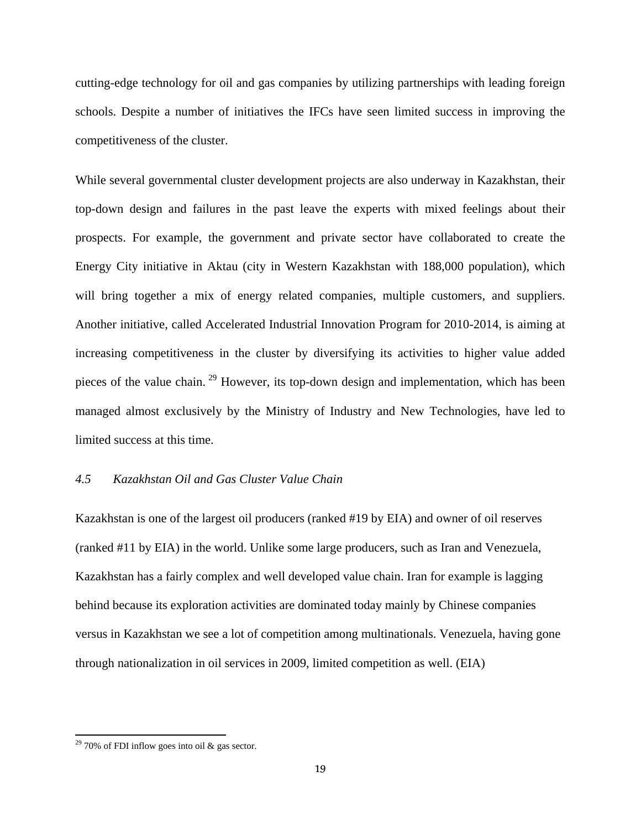cutting-edge technology for oil and gas companies by utilizing partnerships with leading foreign schools. Despite a number of initiatives the IFCs have seen limited success in improving the competitiveness of the cluster.

While several governmental cluster development projects are also underway in Kazakhstan, their top-down design and failures in the past leave the experts with mixed feelings about their prospects. For example, the government and private sector have collaborated to create the Energy City initiative in Aktau (city in Western Kazakhstan with 188,000 population), which will bring together a mix of energy related companies, multiple customers, and suppliers. Another initiative, called Accelerated Industrial Innovation Program for 2010-2014, is aiming at increasing competitiveness in the cluster by diversifying its activities to higher value added pieces of the value chain. 29 However, its top-down design and implementation, which has been managed almost exclusively by the Ministry of Industry and New Technologies, have led to limited success at this time.

## *4.5 Kazakhstan Oil and Gas Cluster Value Chain*

Kazakhstan is one of the largest oil producers (ranked #19 by EIA) and owner of oil reserves (ranked #11 by EIA) in the world. Unlike some large producers, such as Iran and Venezuela, Kazakhstan has a fairly complex and well developed value chain. Iran for example is lagging behind because its exploration activities are dominated today mainly by Chinese companies versus in Kazakhstan we see a lot of competition among multinationals. Venezuela, having gone through nationalization in oil services in 2009, limited competition as well. (EIA)

<sup>&</sup>lt;sup>29</sup> 70% of FDI inflow goes into oil & gas sector.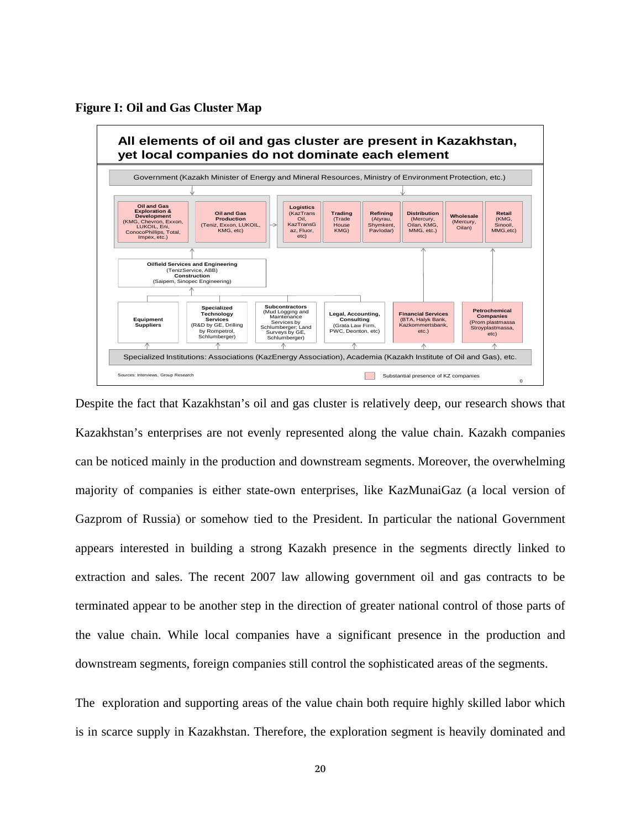



Despite the fact that Kazakhstan's oil and gas cluster is relatively deep, our research shows that Kazakhstan's enterprises are not evenly represented along the value chain. Kazakh companies can be noticed mainly in the production and downstream segments. Moreover, the overwhelming majority of companies is either state-own enterprises, like KazMunaiGaz (a local version of Gazprom of Russia) or somehow tied to the President. In particular the national Government appears interested in building a strong Kazakh presence in the segments directly linked to extraction and sales. The recent 2007 law allowing government oil and gas contracts to be terminated appear to be another step in the direction of greater national control of those parts of the value chain. While local companies have a significant presence in the production and downstream segments, foreign companies still control the sophisticated areas of the segments.

The exploration and supporting areas of the value chain both require highly skilled labor which is in scarce supply in Kazakhstan. Therefore, the exploration segment is heavily dominated and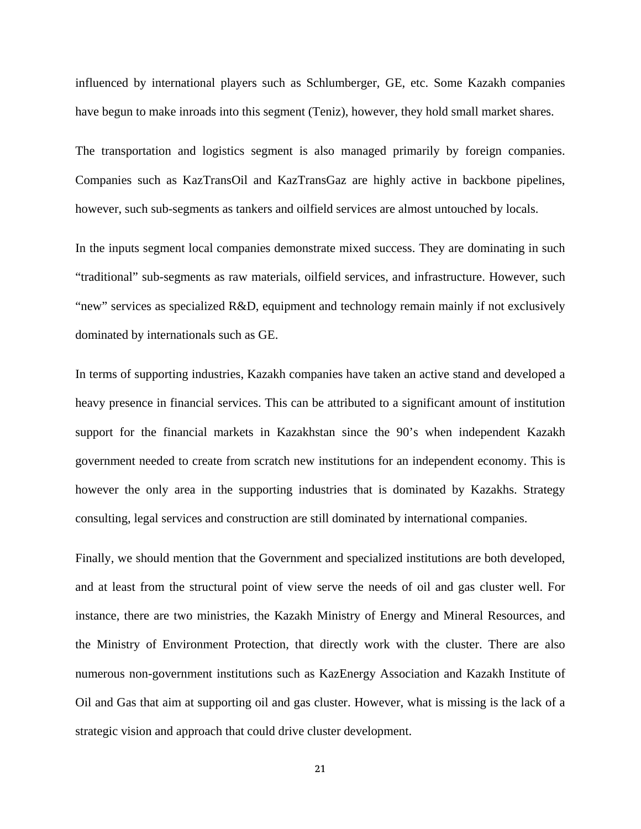influenced by international players such as Schlumberger, GE, etc. Some Kazakh companies have begun to make inroads into this segment (Teniz), however, they hold small market shares.

The transportation and logistics segment is also managed primarily by foreign companies. Companies such as KazTransOil and KazTransGaz are highly active in backbone pipelines, however, such sub-segments as tankers and oilfield services are almost untouched by locals.

In the inputs segment local companies demonstrate mixed success. They are dominating in such "traditional" sub-segments as raw materials, oilfield services, and infrastructure. However, such "new" services as specialized R&D, equipment and technology remain mainly if not exclusively dominated by internationals such as GE.

In terms of supporting industries, Kazakh companies have taken an active stand and developed a heavy presence in financial services. This can be attributed to a significant amount of institution support for the financial markets in Kazakhstan since the 90's when independent Kazakh government needed to create from scratch new institutions for an independent economy. This is however the only area in the supporting industries that is dominated by Kazakhs. Strategy consulting, legal services and construction are still dominated by international companies.

Finally, we should mention that the Government and specialized institutions are both developed, and at least from the structural point of view serve the needs of oil and gas cluster well. For instance, there are two ministries, the Kazakh Ministry of Energy and Mineral Resources, and the Ministry of Environment Protection, that directly work with the cluster. There are also numerous non-government institutions such as KazEnergy Association and Kazakh Institute of Oil and Gas that aim at supporting oil and gas cluster. However, what is missing is the lack of a strategic vision and approach that could drive cluster development.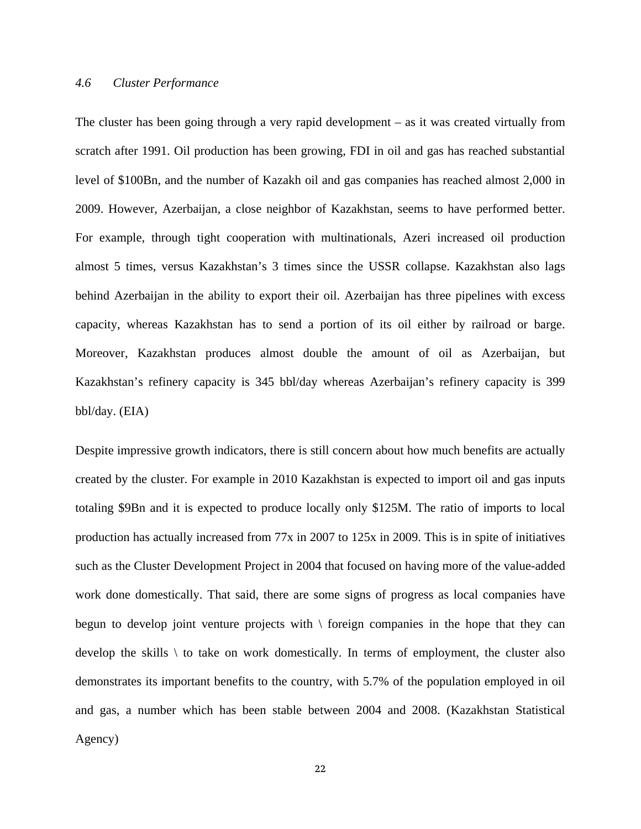#### *4.6 Cluster Performance*

The cluster has been going through a very rapid development – as it was created virtually from scratch after 1991. Oil production has been growing, FDI in oil and gas has reached substantial level of \$100Bn, and the number of Kazakh oil and gas companies has reached almost 2,000 in 2009. However, Azerbaijan, a close neighbor of Kazakhstan, seems to have performed better. For example, through tight cooperation with multinationals, Azeri increased oil production almost 5 times, versus Kazakhstan's 3 times since the USSR collapse. Kazakhstan also lags behind Azerbaijan in the ability to export their oil. Azerbaijan has three pipelines with excess capacity, whereas Kazakhstan has to send a portion of its oil either by railroad or barge. Moreover, Kazakhstan produces almost double the amount of oil as Azerbaijan, but Kazakhstan's refinery capacity is 345 bbl/day whereas Azerbaijan's refinery capacity is 399 bbl/day. (EIA)

Despite impressive growth indicators, there is still concern about how much benefits are actually created by the cluster. For example in 2010 Kazakhstan is expected to import oil and gas inputs totaling \$9Bn and it is expected to produce locally only \$125M. The ratio of imports to local production has actually increased from 77x in 2007 to 125x in 2009. This is in spite of initiatives such as the Cluster Development Project in 2004 that focused on having more of the value-added work done domestically. That said, there are some signs of progress as local companies have begun to develop joint venture projects with  $\setminus$  foreign companies in the hope that they can develop the skills  $\setminus$  to take on work domestically. In terms of employment, the cluster also demonstrates its important benefits to the country, with 5.7% of the population employed in oil and gas, a number which has been stable between 2004 and 2008. (Kazakhstan Statistical Agency)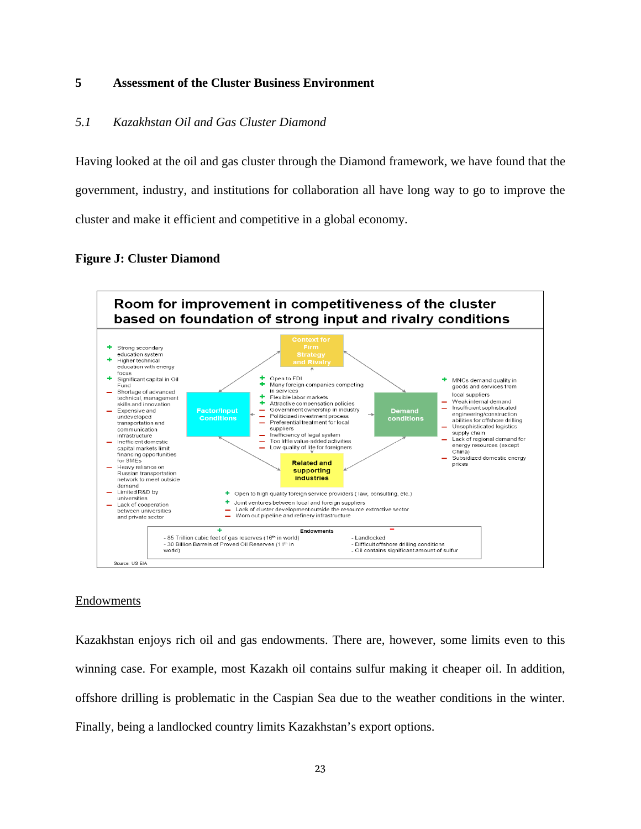#### **5 Assessment of the Cluster Business Environment**

## *5.1 Kazakhstan Oil and Gas Cluster Diamond*

Having looked at the oil and gas cluster through the Diamond framework, we have found that the government, industry, and institutions for collaboration all have long way to go to improve the cluster and make it efficient and competitive in a global economy.

## **Figure J: Cluster Diamond**



#### Endowments

Kazakhstan enjoys rich oil and gas endowments. There are, however, some limits even to this winning case. For example, most Kazakh oil contains sulfur making it cheaper oil. In addition, offshore drilling is problematic in the Caspian Sea due to the weather conditions in the winter. Finally, being a landlocked country limits Kazakhstan's export options.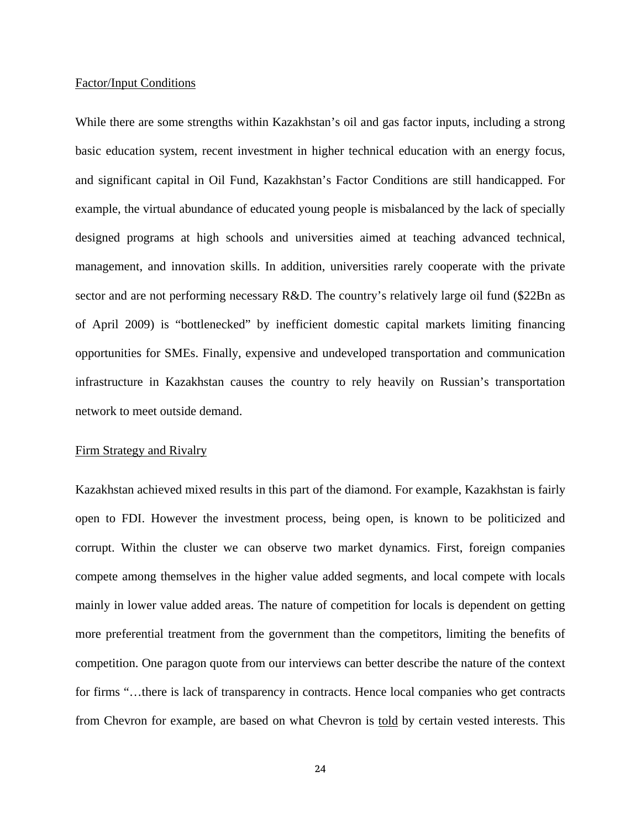#### Factor/Input Conditions

While there are some strengths within Kazakhstan's oil and gas factor inputs, including a strong basic education system, recent investment in higher technical education with an energy focus, and significant capital in Oil Fund, Kazakhstan's Factor Conditions are still handicapped. For example, the virtual abundance of educated young people is misbalanced by the lack of specially designed programs at high schools and universities aimed at teaching advanced technical, management, and innovation skills. In addition, universities rarely cooperate with the private sector and are not performing necessary R&D. The country's relatively large oil fund (\$22Bn as of April 2009) is "bottlenecked" by inefficient domestic capital markets limiting financing opportunities for SMEs. Finally, expensive and undeveloped transportation and communication infrastructure in Kazakhstan causes the country to rely heavily on Russian's transportation network to meet outside demand.

#### Firm Strategy and Rivalry

Kazakhstan achieved mixed results in this part of the diamond. For example, Kazakhstan is fairly open to FDI. However the investment process, being open, is known to be politicized and corrupt. Within the cluster we can observe two market dynamics. First, foreign companies compete among themselves in the higher value added segments, and local compete with locals mainly in lower value added areas. The nature of competition for locals is dependent on getting more preferential treatment from the government than the competitors, limiting the benefits of competition. One paragon quote from our interviews can better describe the nature of the context for firms "...there is lack of transparency in contracts. Hence local companies who get contracts from Chevron for example, are based on what Chevron is told by certain vested interests. This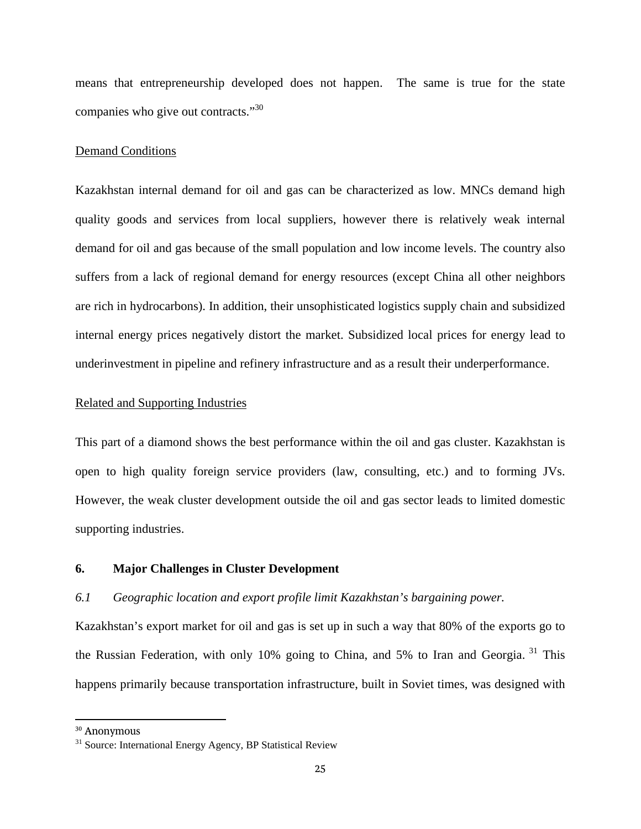means that entrepreneurship developed does not happen. The same is true for the state companies who give out contracts."<sup>30</sup>

#### Demand Conditions

Kazakhstan internal demand for oil and gas can be characterized as low. MNCs demand high quality goods and services from local suppliers, however there is relatively weak internal demand for oil and gas because of the small population and low income levels. The country also suffers from a lack of regional demand for energy resources (except China all other neighbors are rich in hydrocarbons). In addition, their unsophisticated logistics supply chain and subsidized internal energy prices negatively distort the market. Subsidized local prices for energy lead to underinvestment in pipeline and refinery infrastructure and as a result their underperformance.

#### Related and Supporting Industries

This part of a diamond shows the best performance within the oil and gas cluster. Kazakhstan is open to high quality foreign service providers (law, consulting, etc.) and to forming JVs. However, the weak cluster development outside the oil and gas sector leads to limited domestic supporting industries.

#### **6. Major Challenges in Cluster Development**

#### *6.1 Geographic location and export profile limit Kazakhstan's bargaining power.*

Kazakhstan's export market for oil and gas is set up in such a way that 80% of the exports go to the Russian Federation, with only 10% going to China, and 5% to Iran and Georgia. 31 This happens primarily because transportation infrastructure, built in Soviet times, was designed with

<sup>30</sup> Anonymous

<sup>&</sup>lt;sup>31</sup> Source: International Energy Agency, BP Statistical Review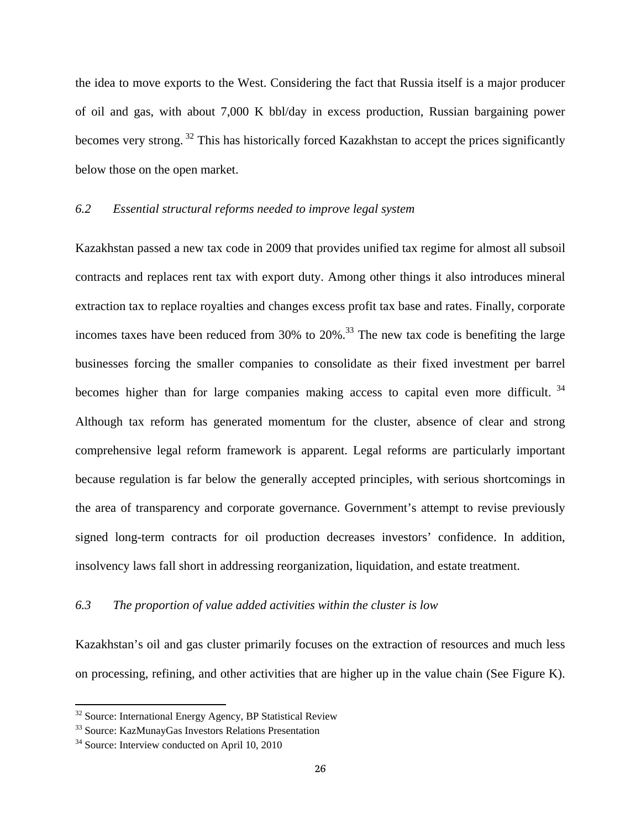the idea to move exports to the West. Considering the fact that Russia itself is a major producer of oil and gas, with about 7,000 K bbl/day in excess production, Russian bargaining power becomes very strong. 32 This has historically forced Kazakhstan to accept the prices significantly below those on the open market.

## *6.2 Essential structural reforms needed to improve legal system*

Kazakhstan passed a new tax code in 2009 that provides unified tax regime for almost all subsoil contracts and replaces rent tax with export duty. Among other things it also introduces mineral extraction tax to replace royalties and changes excess profit tax base and rates. Finally, corporate incomes taxes have been reduced from 30% to  $20\%$ .<sup>33</sup> The new tax code is benefiting the large businesses forcing the smaller companies to consolidate as their fixed investment per barrel becomes higher than for large companies making access to capital even more difficult.<sup>34</sup> Although tax reform has generated momentum for the cluster, absence of clear and strong comprehensive legal reform framework is apparent. Legal reforms are particularly important because regulation is far below the generally accepted principles, with serious shortcomings in the area of transparency and corporate governance. Government's attempt to revise previously signed long-term contracts for oil production decreases investors' confidence. In addition, insolvency laws fall short in addressing reorganization, liquidation, and estate treatment.

## *6.3 The proportion of value added activities within the cluster is low*

Kazakhstan's oil and gas cluster primarily focuses on the extraction of resources and much less on processing, refining, and other activities that are higher up in the value chain (See Figure K).

<sup>&</sup>lt;sup>32</sup> Source: International Energy Agency, BP Statistical Review

<sup>33</sup> Source: KazMunayGas Investors Relations Presentation

<sup>34</sup> Source: Interview conducted on April 10, 2010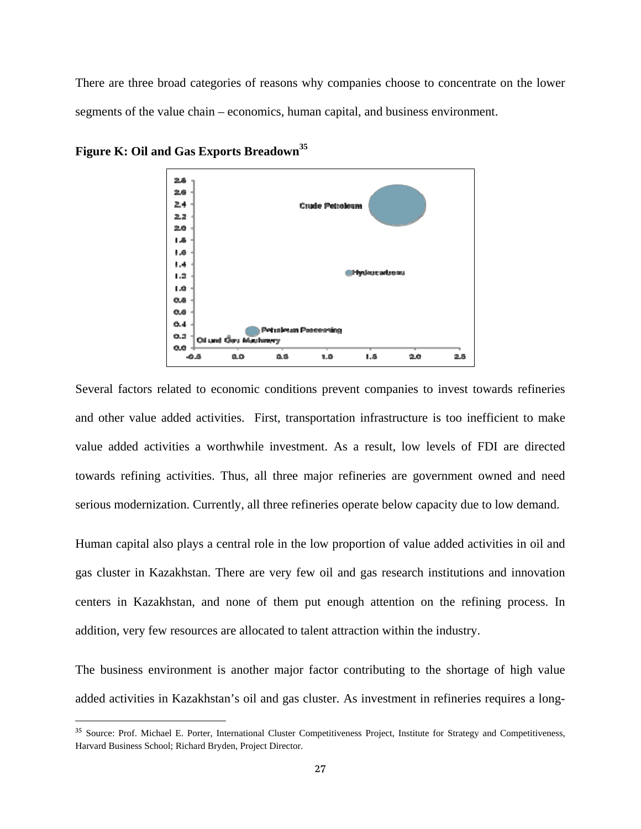There are three broad categories of reasons why companies choose to concentrate on the lower segments of the value chain – economics, human capital, and business environment.



**Figure K: Oil and Gas Exports Breadown<sup>35</sup>**

Several factors related to economic conditions prevent companies to invest towards refineries and other value added activities. First, transportation infrastructure is too inefficient to make value added activities a worthwhile investment. As a result, low levels of FDI are directed towards refining activities. Thus, all three major refineries are government owned and need serious modernization. Currently, all three refineries operate below capacity due to low demand.

Human capital also plays a central role in the low proportion of value added activities in oil and gas cluster in Kazakhstan. There are very few oil and gas research institutions and innovation centers in Kazakhstan, and none of them put enough attention on the refining process. In addition, very few resources are allocated to talent attraction within the industry.

The business environment is another major factor contributing to the shortage of high value added activities in Kazakhstan's oil and gas cluster. As investment in refineries requires a long-

<sup>35</sup> Source: Prof. Michael E. Porter, International Cluster Competitiveness Project, Institute for Strategy and Competitiveness, Harvard Business School; Richard Bryden, Project Director.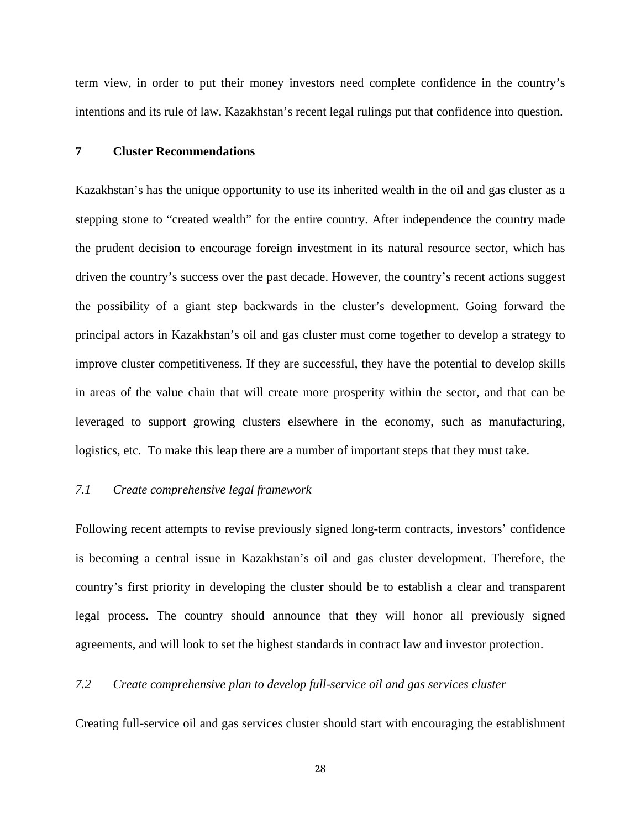term view, in order to put their money investors need complete confidence in the country's intentions and its rule of law. Kazakhstan's recent legal rulings put that confidence into question.

### **7 Cluster Recommendations**

Kazakhstan's has the unique opportunity to use its inherited wealth in the oil and gas cluster as a stepping stone to "created wealth" for the entire country. After independence the country made the prudent decision to encourage foreign investment in its natural resource sector, which has driven the country's success over the past decade. However, the country's recent actions suggest the possibility of a giant step backwards in the cluster's development. Going forward the principal actors in Kazakhstan's oil and gas cluster must come together to develop a strategy to improve cluster competitiveness. If they are successful, they have the potential to develop skills in areas of the value chain that will create more prosperity within the sector, and that can be leveraged to support growing clusters elsewhere in the economy, such as manufacturing, logistics, etc. To make this leap there are a number of important steps that they must take.

## *7.1 Create comprehensive legal framework*

Following recent attempts to revise previously signed long-term contracts, investors' confidence is becoming a central issue in Kazakhstan's oil and gas cluster development. Therefore, the country's first priority in developing the cluster should be to establish a clear and transparent legal process. The country should announce that they will honor all previously signed agreements, and will look to set the highest standards in contract law and investor protection.

## *7.2 Create comprehensive plan to develop full-service oil and gas services cluster*

Creating full-service oil and gas services cluster should start with encouraging the establishment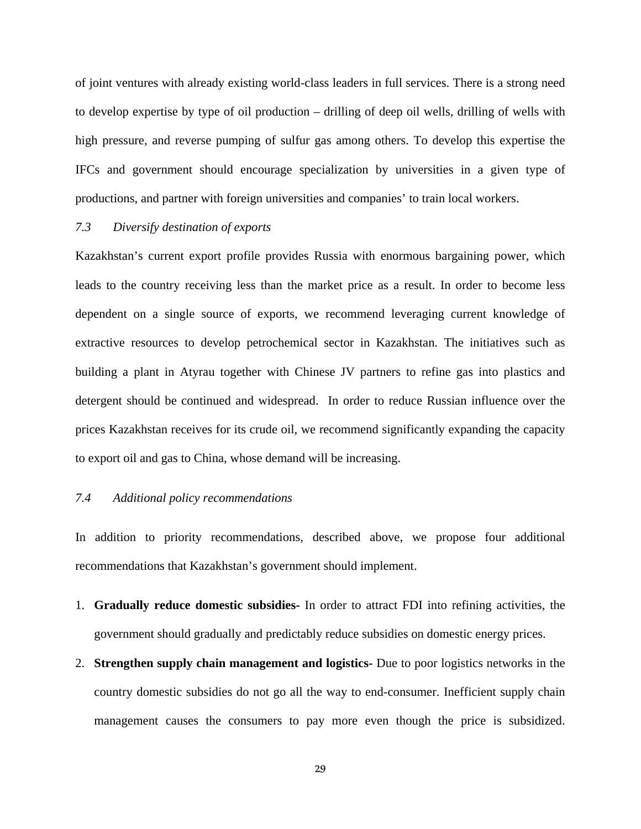of joint ventures with already existing world-class leaders in full services. There is a strong need to develop expertise by type of oil production – drilling of deep oil wells, drilling of wells with high pressure, and reverse pumping of sulfur gas among others. To develop this expertise the IFCs and government should encourage specialization by universities in a given type of productions, and partner with foreign universities and companies' to train local workers.

#### *7.3 Diversify destination of exports*

Kazakhstan's current export profile provides Russia with enormous bargaining power, which leads to the country receiving less than the market price as a result. In order to become less dependent on a single source of exports, we recommend leveraging current knowledge of extractive resources to develop petrochemical sector in Kazakhstan. The initiatives such as building a plant in Atyrau together with Chinese JV partners to refine gas into plastics and detergent should be continued and widespread. In order to reduce Russian influence over the prices Kazakhstan receives for its crude oil, we recommend significantly expanding the capacity to export oil and gas to China, whose demand will be increasing.

## *7.4 Additional policy recommendations*

In addition to priority recommendations, described above, we propose four additional recommendations that Kazakhstan's government should implement.

- 1. **Gradually reduce domestic subsidies-** In order to attract FDI into refining activities, the government should gradually and predictably reduce subsidies on domestic energy prices.
- 2. **Strengthen supply chain management and logistics-** Due to poor logistics networks in the country domestic subsidies do not go all the way to end-consumer. Inefficient supply chain management causes the consumers to pay more even though the price is subsidized.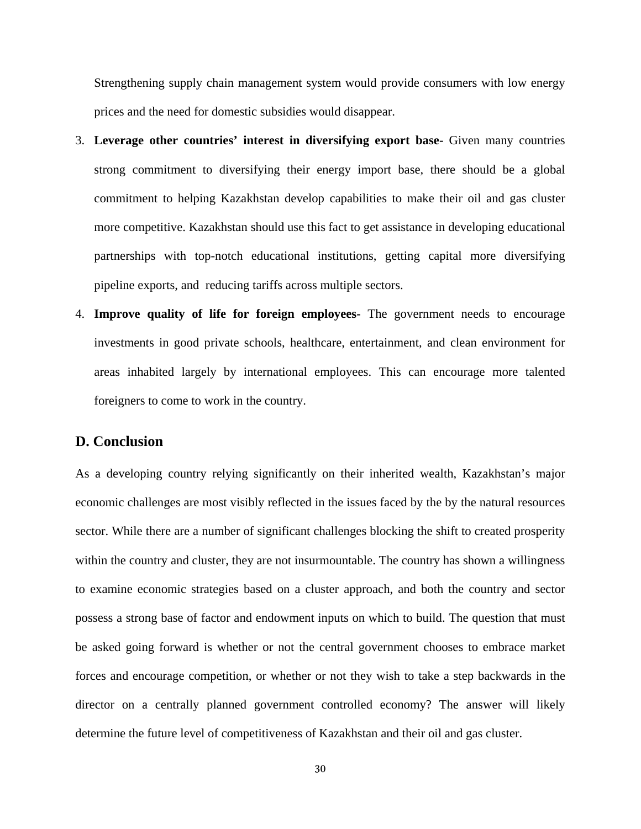Strengthening supply chain management system would provide consumers with low energy prices and the need for domestic subsidies would disappear.

- 3. **Leverage other countries' interest in diversifying export base-** Given many countries strong commitment to diversifying their energy import base, there should be a global commitment to helping Kazakhstan develop capabilities to make their oil and gas cluster more competitive. Kazakhstan should use this fact to get assistance in developing educational partnerships with top-notch educational institutions, getting capital more diversifying pipeline exports, and reducing tariffs across multiple sectors.
- 4. **Improve quality of life for foreign employees-** The government needs to encourage investments in good private schools, healthcare, entertainment, and clean environment for areas inhabited largely by international employees. This can encourage more talented foreigners to come to work in the country.

## **D. Conclusion**

As a developing country relying significantly on their inherited wealth, Kazakhstan's major economic challenges are most visibly reflected in the issues faced by the by the natural resources sector. While there are a number of significant challenges blocking the shift to created prosperity within the country and cluster, they are not insurmountable. The country has shown a willingness to examine economic strategies based on a cluster approach, and both the country and sector possess a strong base of factor and endowment inputs on which to build. The question that must be asked going forward is whether or not the central government chooses to embrace market forces and encourage competition, or whether or not they wish to take a step backwards in the director on a centrally planned government controlled economy? The answer will likely determine the future level of competitiveness of Kazakhstan and their oil and gas cluster.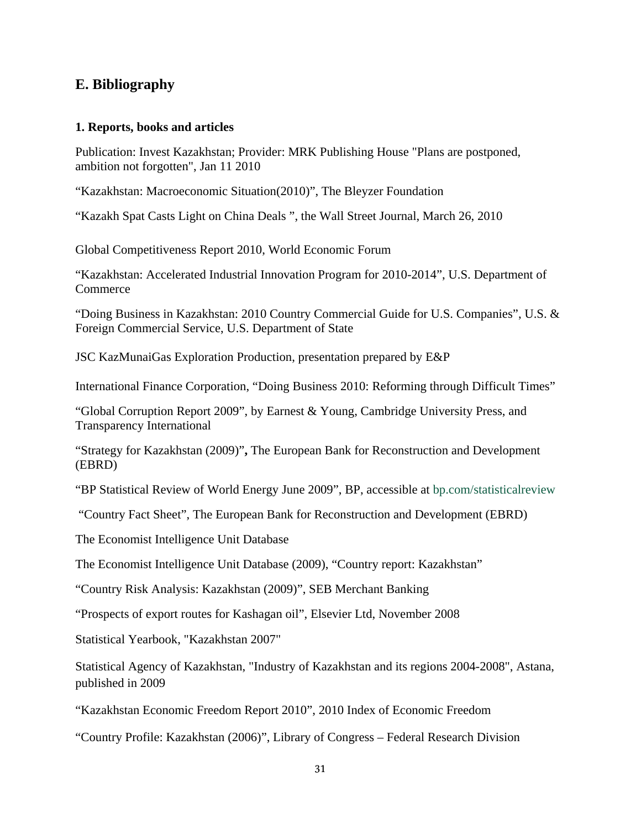# **E. Bibliography**

## **1. Reports, books and articles**

Publication: Invest Kazakhstan; Provider: MRK Publishing House "Plans are postponed, ambition not forgotten", Jan 11 2010

"Kazakhstan: Macroeconomic Situation(2010)", The Bleyzer Foundation

"Kazakh Spat Casts Light on China Deals ", the Wall Street Journal, March 26, 2010

Global Competitiveness Report 2010, World Economic Forum

"Kazakhstan: Accelerated Industrial Innovation Program for 2010-2014", U.S. Department of **Commerce** 

"Doing Business in Kazakhstan: 2010 Country Commercial Guide for U.S. Companies", U.S. & Foreign Commercial Service, U.S. Department of State

JSC KazMunaiGas Exploration Production, presentation prepared by E&P

International Finance Corporation, "Doing Business 2010: Reforming through Difficult Times"

"Global Corruption Report 2009", by Earnest & Young, Cambridge University Press, and Transparency International

"Strategy for Kazakhstan (2009)"**,** The European Bank for Reconstruction and Development (EBRD)

"BP Statistical Review of World Energy June 2009", BP, accessible at bp.com/statisticalreview

"Country Fact Sheet", The European Bank for Reconstruction and Development (EBRD)

The Economist Intelligence Unit Database

The Economist Intelligence Unit Database (2009), "Country report: Kazakhstan"

"Country Risk Analysis: Kazakhstan (2009)", SEB Merchant Banking

"Prospects of export routes for Kashagan oil", Elsevier Ltd, November 2008

Statistical Yearbook, "Kazakhstan 2007"

Statistical Agency of Kazakhstan, "Industry of Kazakhstan and its regions 2004-2008", Astana, published in 2009

"Kazakhstan Economic Freedom Report 2010", 2010 Index of Economic Freedom

"Country Profile: Kazakhstan (2006)", Library of Congress – Federal Research Division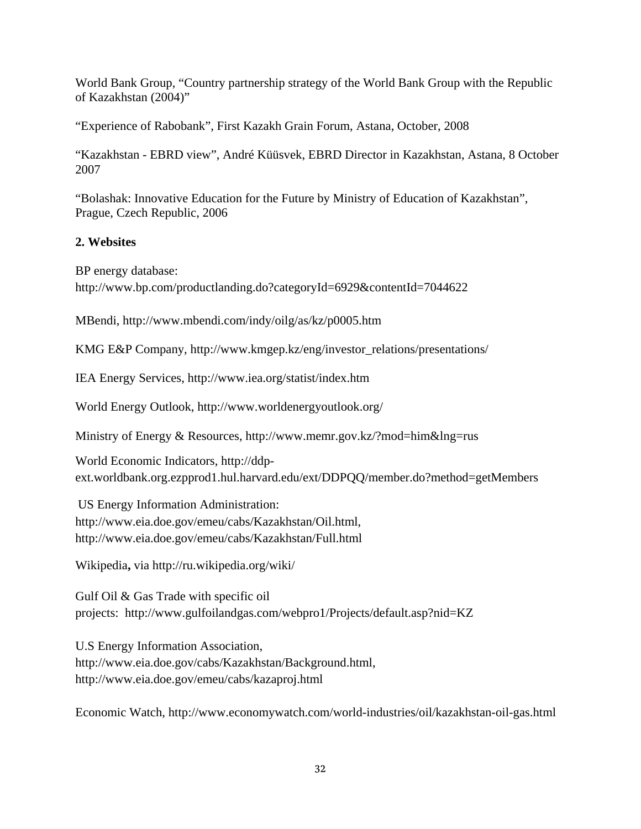World Bank Group, "Country partnership strategy of the World Bank Group with the Republic of Kazakhstan (2004)"

"Experience of Rabobank", First Kazakh Grain Forum, Astana, October, 2008

"Kazakhstan - EBRD view", André Küüsvek, EBRD Director in Kazakhstan, Astana, 8 October 2007

"Bolashak: Innovative Education for the Future by Ministry of Education of Kazakhstan", Prague, Czech Republic, 2006

# **2. Websites**

BP energy database:

http://www.bp.com/productlanding.do?categoryId=6929&contentId=7044622

MBendi, http://www.mbendi.com/indy/oilg/as/kz/p0005.htm

KMG E&P Company, http://www.kmgep.kz/eng/investor\_relations/presentations/

IEA Energy Services, http://www.iea.org/statist/index.htm

World Energy Outlook, http://www.worldenergyoutlook.org/

Ministry of Energy & Resources, http://www.memr.gov.kz/?mod=him&lng=rus

World Economic Indicators, http://ddpext.worldbank.org.ezpprod1.hul.harvard.edu/ext/DDPQQ/member.do?method=getMembers

US Energy Information Administration: http://www.eia.doe.gov/emeu/cabs/Kazakhstan/Oil.html, http://www.eia.doe.gov/emeu/cabs/Kazakhstan/Full.html

Wikipedia**,** via http://ru.wikipedia.org/wiki/

Gulf Oil & Gas Trade with specific oil projects: http://www.gulfoilandgas.com/webpro1/Projects/default.asp?nid=KZ

U.S Energy Information Association, http://www.eia.doe.gov/cabs/Kazakhstan/Background.html, http://www.eia.doe.gov/emeu/cabs/kazaproj.html

Economic Watch, http://www.economywatch.com/world-industries/oil/kazakhstan-oil-gas.html